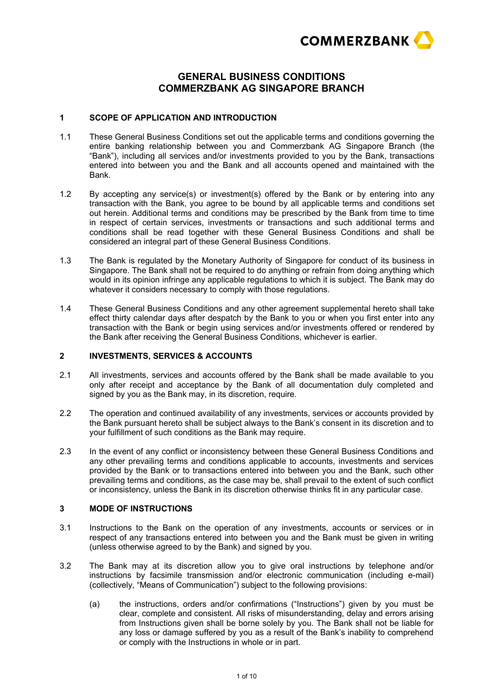

# **GENERAL BUSINESS CONDITIONS COMMERZBANK AG SINGAPORE BRANCH**

## **1 SCOPE OF APPLICATION AND INTRODUCTION**

- 1.1 These General Business Conditions set out the applicable terms and conditions governing the entire banking relationship between you and Commerzbank AG Singapore Branch (the "Bank"), including all services and/or investments provided to you by the Bank, transactions entered into between you and the Bank and all accounts opened and maintained with the Bank.
- 1.2 By accepting any service(s) or investment(s) offered by the Bank or by entering into any transaction with the Bank, you agree to be bound by all applicable terms and conditions set out herein. Additional terms and conditions may be prescribed by the Bank from time to time in respect of certain services, investments or transactions and such additional terms and conditions shall be read together with these General Business Conditions and shall be considered an integral part of these General Business Conditions.
- 1.3 The Bank is regulated by the Monetary Authority of Singapore for conduct of its business in Singapore. The Bank shall not be required to do anything or refrain from doing anything which would in its opinion infringe any applicable regulations to which it is subject. The Bank may do whatever it considers necessary to comply with those regulations.
- 1.4 These General Business Conditions and any other agreement supplemental hereto shall take effect thirty calendar days after despatch by the Bank to you or when you first enter into any transaction with the Bank or begin using services and/or investments offered or rendered by the Bank after receiving the General Business Conditions, whichever is earlier.

#### **2 INVESTMENTS, SERVICES & ACCOUNTS**

- 2.1 All investments, services and accounts offered by the Bank shall be made available to you only after receipt and acceptance by the Bank of all documentation duly completed and signed by you as the Bank may, in its discretion, require.
- 2.2 The operation and continued availability of any investments, services or accounts provided by the Bank pursuant hereto shall be subject always to the Bank's consent in its discretion and to your fulfillment of such conditions as the Bank may require.
- 2.3 In the event of any conflict or inconsistency between these General Business Conditions and any other prevailing terms and conditions applicable to accounts, investments and services provided by the Bank or to transactions entered into between you and the Bank, such other prevailing terms and conditions, as the case may be, shall prevail to the extent of such conflict or inconsistency, unless the Bank in its discretion otherwise thinks fit in any particular case.

# **3 MODE OF INSTRUCTIONS**

- 3.1 Instructions to the Bank on the operation of any investments, accounts or services or in respect of any transactions entered into between you and the Bank must be given in writing (unless otherwise agreed to by the Bank) and signed by you.
- 3.2 The Bank may at its discretion allow you to give oral instructions by telephone and/or instructions by facsimile transmission and/or electronic communication (including e-mail) (collectively, "Means of Communication") subject to the following provisions:
	- (a) the instructions, orders and/or confirmations ("Instructions") given by you must be clear, complete and consistent. All risks of misunderstanding, delay and errors arising from Instructions given shall be borne solely by you. The Bank shall not be liable for any loss or damage suffered by you as a result of the Bank's inability to comprehend or comply with the Instructions in whole or in part.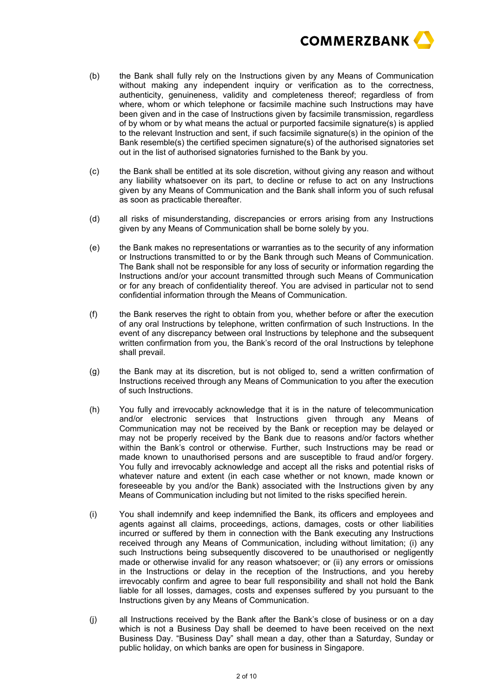

- (b) the Bank shall fully rely on the Instructions given by any Means of Communication without making any independent inquiry or verification as to the correctness, authenticity, genuineness, validity and completeness thereof; regardless of from where, whom or which telephone or facsimile machine such Instructions may have been given and in the case of Instructions given by facsimile transmission, regardless of by whom or by what means the actual or purported facsimile signature(s) is applied to the relevant Instruction and sent, if such facsimile signature(s) in the opinion of the Bank resemble(s) the certified specimen signature(s) of the authorised signatories set out in the list of authorised signatories furnished to the Bank by you.
- (c) the Bank shall be entitled at its sole discretion, without giving any reason and without any liability whatsoever on its part, to decline or refuse to act on any Instructions given by any Means of Communication and the Bank shall inform you of such refusal as soon as practicable thereafter.
- (d) all risks of misunderstanding, discrepancies or errors arising from any Instructions given by any Means of Communication shall be borne solely by you.
- (e) the Bank makes no representations or warranties as to the security of any information or Instructions transmitted to or by the Bank through such Means of Communication. The Bank shall not be responsible for any loss of security or information regarding the Instructions and/or your account transmitted through such Means of Communication or for any breach of confidentiality thereof. You are advised in particular not to send confidential information through the Means of Communication.
- (f) the Bank reserves the right to obtain from you, whether before or after the execution of any oral Instructions by telephone, written confirmation of such Instructions. In the event of any discrepancy between oral Instructions by telephone and the subsequent written confirmation from you, the Bank's record of the oral Instructions by telephone shall prevail.
- (g) the Bank may at its discretion, but is not obliged to, send a written confirmation of Instructions received through any Means of Communication to you after the execution of such Instructions.
- (h) You fully and irrevocably acknowledge that it is in the nature of telecommunication and/or electronic services that Instructions given through any Means of Communication may not be received by the Bank or reception may be delayed or may not be properly received by the Bank due to reasons and/or factors whether within the Bank's control or otherwise. Further, such Instructions may be read or made known to unauthorised persons and are susceptible to fraud and/or forgery. You fully and irrevocably acknowledge and accept all the risks and potential risks of whatever nature and extent (in each case whether or not known, made known or foreseeable by you and/or the Bank) associated with the Instructions given by any Means of Communication including but not limited to the risks specified herein.
- (i) You shall indemnify and keep indemnified the Bank, its officers and employees and agents against all claims, proceedings, actions, damages, costs or other liabilities incurred or suffered by them in connection with the Bank executing any Instructions received through any Means of Communication, including without limitation; (i) any such Instructions being subsequently discovered to be unauthorised or negligently made or otherwise invalid for any reason whatsoever; or (ii) any errors or omissions in the Instructions or delay in the reception of the Instructions, and you hereby irrevocably confirm and agree to bear full responsibility and shall not hold the Bank liable for all losses, damages, costs and expenses suffered by you pursuant to the Instructions given by any Means of Communication.
- (j) all Instructions received by the Bank after the Bank's close of business or on a day which is not a Business Day shall be deemed to have been received on the next Business Day. "Business Day" shall mean a day, other than a Saturday, Sunday or public holiday, on which banks are open for business in Singapore.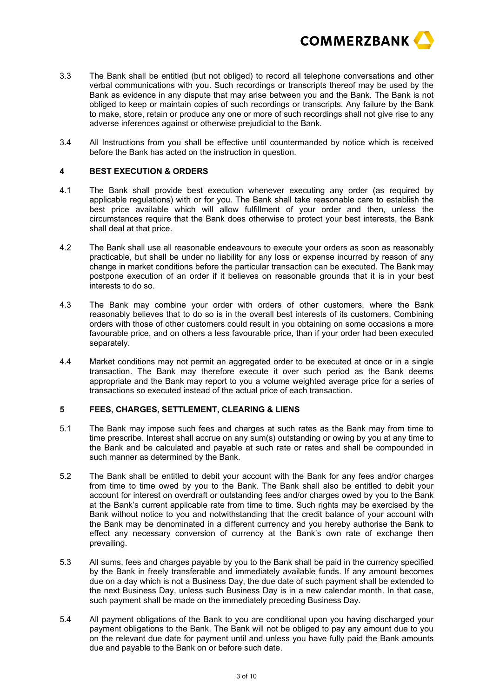

- 3.3 The Bank shall be entitled (but not obliged) to record all telephone conversations and other verbal communications with you. Such recordings or transcripts thereof may be used by the Bank as evidence in any dispute that may arise between you and the Bank. The Bank is not obliged to keep or maintain copies of such recordings or transcripts. Any failure by the Bank to make, store, retain or produce any one or more of such recordings shall not give rise to any adverse inferences against or otherwise prejudicial to the Bank.
- 3.4 All Instructions from you shall be effective until countermanded by notice which is received before the Bank has acted on the instruction in question.

# **4 BEST EXECUTION & ORDERS**

- 4.1 The Bank shall provide best execution whenever executing any order (as required by applicable regulations) with or for you. The Bank shall take reasonable care to establish the best price available which will allow fulfillment of your order and then, unless the circumstances require that the Bank does otherwise to protect your best interests, the Bank shall deal at that price.
- 4.2 The Bank shall use all reasonable endeavours to execute your orders as soon as reasonably practicable, but shall be under no liability for any loss or expense incurred by reason of any change in market conditions before the particular transaction can be executed. The Bank may postpone execution of an order if it believes on reasonable grounds that it is in your best interests to do so.
- 4.3 The Bank may combine your order with orders of other customers, where the Bank reasonably believes that to do so is in the overall best interests of its customers. Combining orders with those of other customers could result in you obtaining on some occasions a more favourable price, and on others a less favourable price, than if your order had been executed separately.
- 4.4 Market conditions may not permit an aggregated order to be executed at once or in a single transaction. The Bank may therefore execute it over such period as the Bank deems appropriate and the Bank may report to you a volume weighted average price for a series of transactions so executed instead of the actual price of each transaction.

#### **5 FEES, CHARGES, SETTLEMENT, CLEARING & LIENS**

- 5.1 The Bank may impose such fees and charges at such rates as the Bank may from time to time prescribe. Interest shall accrue on any sum(s) outstanding or owing by you at any time to the Bank and be calculated and payable at such rate or rates and shall be compounded in such manner as determined by the Bank.
- 5.2 The Bank shall be entitled to debit your account with the Bank for any fees and/or charges from time to time owed by you to the Bank. The Bank shall also be entitled to debit your account for interest on overdraft or outstanding fees and/or charges owed by you to the Bank at the Bank's current applicable rate from time to time. Such rights may be exercised by the Bank without notice to you and notwithstanding that the credit balance of your account with the Bank may be denominated in a different currency and you hereby authorise the Bank to effect any necessary conversion of currency at the Bank's own rate of exchange then prevailing.
- 5.3 All sums, fees and charges payable by you to the Bank shall be paid in the currency specified by the Bank in freely transferable and immediately available funds. If any amount becomes due on a day which is not a Business Day, the due date of such payment shall be extended to the next Business Day, unless such Business Day is in a new calendar month. In that case, such payment shall be made on the immediately preceding Business Day.
- 5.4 All payment obligations of the Bank to you are conditional upon you having discharged your payment obligations to the Bank. The Bank will not be obliged to pay any amount due to you on the relevant due date for payment until and unless you have fully paid the Bank amounts due and payable to the Bank on or before such date.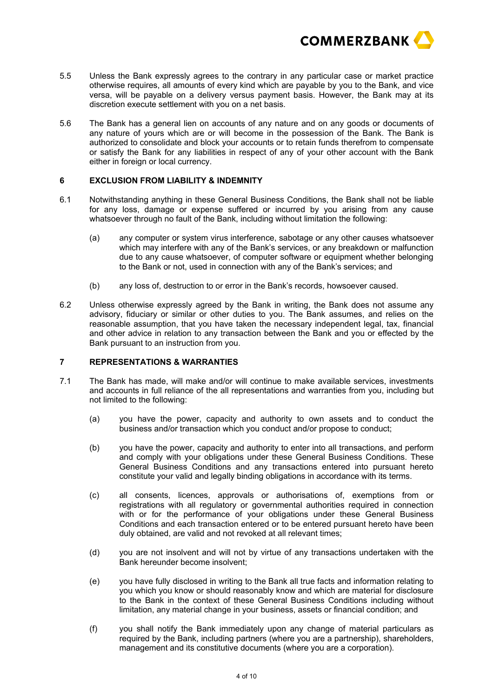

- 5.5 Unless the Bank expressly agrees to the contrary in any particular case or market practice otherwise requires, all amounts of every kind which are payable by you to the Bank, and vice versa, will be payable on a delivery versus payment basis. However, the Bank may at its discretion execute settlement with you on a net basis.
- 5.6 The Bank has a general lien on accounts of any nature and on any goods or documents of any nature of yours which are or will become in the possession of the Bank. The Bank is authorized to consolidate and block your accounts or to retain funds therefrom to compensate or satisfy the Bank for any liabilities in respect of any of your other account with the Bank either in foreign or local currency.

## **6 EXCLUSION FROM LIABILITY & INDEMNITY**

- 6.1 Notwithstanding anything in these General Business Conditions, the Bank shall not be liable for any loss, damage or expense suffered or incurred by you arising from any cause whatsoever through no fault of the Bank, including without limitation the following:
	- (a) any computer or system virus interference, sabotage or any other causes whatsoever which may interfere with any of the Bank's services, or any breakdown or malfunction due to any cause whatsoever, of computer software or equipment whether belonging to the Bank or not, used in connection with any of the Bank's services; and
	- (b) any loss of, destruction to or error in the Bank's records, howsoever caused.
- 6.2 Unless otherwise expressly agreed by the Bank in writing, the Bank does not assume any advisory, fiduciary or similar or other duties to you. The Bank assumes, and relies on the reasonable assumption, that you have taken the necessary independent legal, tax, financial and other advice in relation to any transaction between the Bank and you or effected by the Bank pursuant to an instruction from you.

# **7 REPRESENTATIONS & WARRANTIES**

- 7.1 The Bank has made, will make and/or will continue to make available services, investments and accounts in full reliance of the all representations and warranties from you, including but not limited to the following:
	- (a) you have the power, capacity and authority to own assets and to conduct the business and/or transaction which you conduct and/or propose to conduct;
	- (b) you have the power, capacity and authority to enter into all transactions, and perform and comply with your obligations under these General Business Conditions. These General Business Conditions and any transactions entered into pursuant hereto constitute your valid and legally binding obligations in accordance with its terms.
	- (c) all consents, licences, approvals or authorisations of, exemptions from or registrations with all regulatory or governmental authorities required in connection with or for the performance of your obligations under these General Business Conditions and each transaction entered or to be entered pursuant hereto have been duly obtained, are valid and not revoked at all relevant times;
	- (d) you are not insolvent and will not by virtue of any transactions undertaken with the Bank hereunder become insolvent;
	- (e) you have fully disclosed in writing to the Bank all true facts and information relating to you which you know or should reasonably know and which are material for disclosure to the Bank in the context of these General Business Conditions including without limitation, any material change in your business, assets or financial condition; and
	- (f) you shall notify the Bank immediately upon any change of material particulars as required by the Bank, including partners (where you are a partnership), shareholders, management and its constitutive documents (where you are a corporation).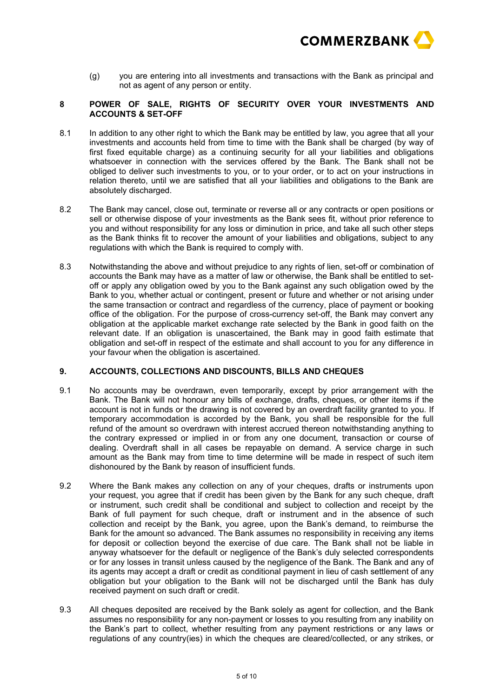

(g) you are entering into all investments and transactions with the Bank as principal and not as agent of any person or entity.

# **8 POWER OF SALE, RIGHTS OF SECURITY OVER YOUR INVESTMENTS AND ACCOUNTS & SET-OFF**

- 8.1 In addition to any other right to which the Bank may be entitled by law, you agree that all your investments and accounts held from time to time with the Bank shall be charged (by way of first fixed equitable charge) as a continuing security for all your liabilities and obligations whatsoever in connection with the services offered by the Bank. The Bank shall not be obliged to deliver such investments to you, or to your order, or to act on your instructions in relation thereto, until we are satisfied that all your liabilities and obligations to the Bank are absolutely discharged.
- 8.2 The Bank may cancel, close out, terminate or reverse all or any contracts or open positions or sell or otherwise dispose of your investments as the Bank sees fit, without prior reference to you and without responsibility for any loss or diminution in price, and take all such other steps as the Bank thinks fit to recover the amount of your liabilities and obligations, subject to any regulations with which the Bank is required to comply with.
- 8.3 Notwithstanding the above and without prejudice to any rights of lien, set-off or combination of accounts the Bank may have as a matter of law or otherwise, the Bank shall be entitled to setoff or apply any obligation owed by you to the Bank against any such obligation owed by the Bank to you, whether actual or contingent, present or future and whether or not arising under the same transaction or contract and regardless of the currency, place of payment or booking office of the obligation. For the purpose of cross-currency set-off, the Bank may convert any obligation at the applicable market exchange rate selected by the Bank in good faith on the relevant date. If an obligation is unascertained, the Bank may in good faith estimate that obligation and set-off in respect of the estimate and shall account to you for any difference in your favour when the obligation is ascertained.

# **9. ACCOUNTS, COLLECTIONS AND DISCOUNTS, BILLS AND CHEQUES**

- 9.1 No accounts may be overdrawn, even temporarily, except by prior arrangement with the Bank. The Bank will not honour any bills of exchange, drafts, cheques, or other items if the account is not in funds or the drawing is not covered by an overdraft facility granted to you. If temporary accommodation is accorded by the Bank, you shall be responsible for the full refund of the amount so overdrawn with interest accrued thereon notwithstanding anything to the contrary expressed or implied in or from any one document, transaction or course of dealing. Overdraft shall in all cases be repayable on demand. A service charge in such amount as the Bank may from time to time determine will be made in respect of such item dishonoured by the Bank by reason of insufficient funds.
- 9.2 Where the Bank makes any collection on any of your cheques, drafts or instruments upon your request, you agree that if credit has been given by the Bank for any such cheque, draft or instrument, such credit shall be conditional and subject to collection and receipt by the Bank of full payment for such cheque, draft or instrument and in the absence of such collection and receipt by the Bank, you agree, upon the Bank's demand, to reimburse the Bank for the amount so advanced. The Bank assumes no responsibility in receiving any items for deposit or collection beyond the exercise of due care. The Bank shall not be liable in anyway whatsoever for the default or negligence of the Bank's duly selected correspondents or for any losses in transit unless caused by the negligence of the Bank. The Bank and any of its agents may accept a draft or credit as conditional payment in lieu of cash settlement of any obligation but your obligation to the Bank will not be discharged until the Bank has duly received payment on such draft or credit.
- 9.3 All cheques deposited are received by the Bank solely as agent for collection, and the Bank assumes no responsibility for any non-payment or losses to you resulting from any inability on the Bank's part to collect, whether resulting from any payment restrictions or any laws or regulations of any country(ies) in which the cheques are cleared/collected, or any strikes, or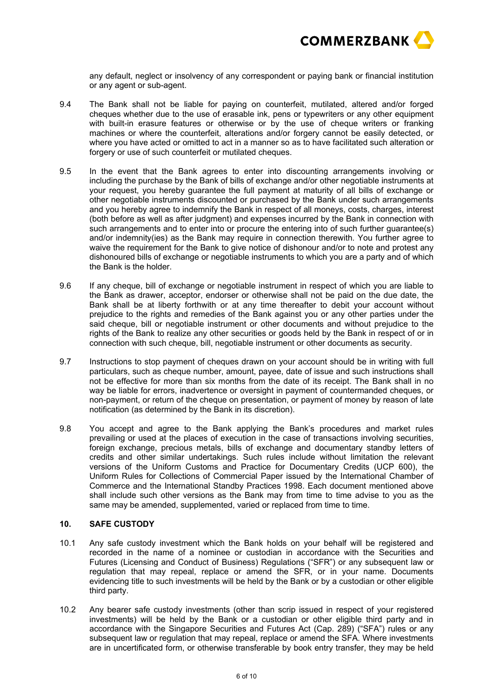

any default, neglect or insolvency of any correspondent or paying bank or financial institution or any agent or sub-agent.

- 9.4 The Bank shall not be liable for paying on counterfeit, mutilated, altered and/or forged cheques whether due to the use of erasable ink, pens or typewriters or any other equipment with built-in erasure features or otherwise or by the use of cheque writers or franking machines or where the counterfeit, alterations and/or forgery cannot be easily detected, or where you have acted or omitted to act in a manner so as to have facilitated such alteration or forgery or use of such counterfeit or mutilated cheques.
- 9.5 In the event that the Bank agrees to enter into discounting arrangements involving or including the purchase by the Bank of bills of exchange and/or other negotiable instruments at your request, you hereby guarantee the full payment at maturity of all bills of exchange or other negotiable instruments discounted or purchased by the Bank under such arrangements and you hereby agree to indemnify the Bank in respect of all moneys, costs, charges, interest (both before as well as after judgment) and expenses incurred by the Bank in connection with such arrangements and to enter into or procure the entering into of such further guarantee(s) and/or indemnity(ies) as the Bank may require in connection therewith. You further agree to waive the requirement for the Bank to give notice of dishonour and/or to note and protest any dishonoured bills of exchange or negotiable instruments to which you are a party and of which the Bank is the holder.
- 9.6 If any cheque, bill of exchange or negotiable instrument in respect of which you are liable to the Bank as drawer, acceptor, endorser or otherwise shall not be paid on the due date, the Bank shall be at liberty forthwith or at any time thereafter to debit your account without prejudice to the rights and remedies of the Bank against you or any other parties under the said cheque, bill or negotiable instrument or other documents and without prejudice to the rights of the Bank to realize any other securities or goods held by the Bank in respect of or in connection with such cheque, bill, negotiable instrument or other documents as security.
- 9.7 Instructions to stop payment of cheques drawn on your account should be in writing with full particulars, such as cheque number, amount, payee, date of issue and such instructions shall not be effective for more than six months from the date of its receipt. The Bank shall in no way be liable for errors, inadvertence or oversight in payment of countermanded cheques, or non-payment, or return of the cheque on presentation, or payment of money by reason of late notification (as determined by the Bank in its discretion).
- 9.8 You accept and agree to the Bank applying the Bank's procedures and market rules prevailing or used at the places of execution in the case of transactions involving securities, foreign exchange, precious metals, bills of exchange and documentary standby letters of credits and other similar undertakings. Such rules include without limitation the relevant versions of the Uniform Customs and Practice for Documentary Credits (UCP 600), the Uniform Rules for Collections of Commercial Paper issued by the International Chamber of Commerce and the International Standby Practices 1998. Each document mentioned above shall include such other versions as the Bank may from time to time advise to you as the same may be amended, supplemented, varied or replaced from time to time.

## **10. SAFE CUSTODY**

- 10.1 Any safe custody investment which the Bank holds on your behalf will be registered and recorded in the name of a nominee or custodian in accordance with the Securities and Futures (Licensing and Conduct of Business) Regulations ("SFR") or any subsequent law or regulation that may repeal, replace or amend the SFR, or in your name. Documents evidencing title to such investments will be held by the Bank or by a custodian or other eligible third party.
- 10.2 Any bearer safe custody investments (other than scrip issued in respect of your registered investments) will be held by the Bank or a custodian or other eligible third party and in accordance with the Singapore Securities and Futures Act (Cap. 289) ("SFA") rules or any subsequent law or regulation that may repeal, replace or amend the SFA. Where investments are in uncertificated form, or otherwise transferable by book entry transfer, they may be held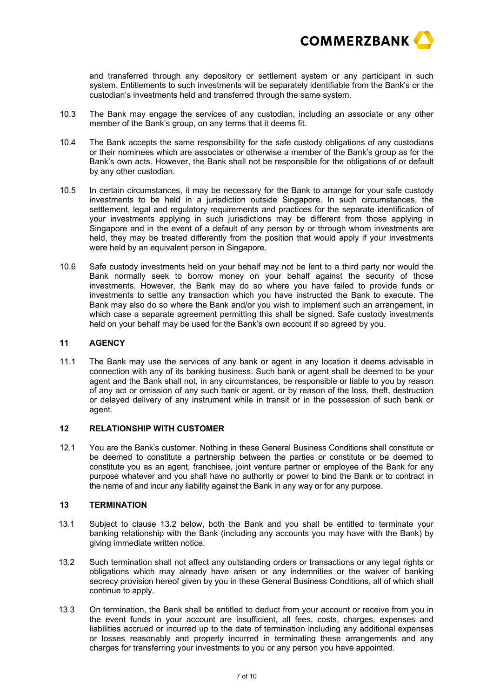

and transferred through any depository or settlement system or any participant in such system. Entitlements to such investments will be separately identifiable from the Bank's or the custodian's investments held and transferred through the same system.

- 10.3 The Bank may engage the services of any custodian, including an associate or any other member of the Bank's group, on any terms that it deems fit.
- 10.4 The Bank accepts the same responsibility for the safe custody obligations of any custodians or their nominees which are associates or otherwise a member of the Bank's group as for the Bank's own acts. However, the Bank shall not be responsible for the obligations of or default by any other custodian.
- 10.5 In certain circumstances, it may be necessary for the Bank to arrange for your safe custody investments to be held in a jurisdiction outside Singapore. In such circumstances, the settlement, legal and regulatory requirements and practices for the separate identification of your investments applying in such jurisdictions may be different from those applying in Singapore and in the event of a default of any person by or through whom investments are held, they may be treated differently from the position that would apply if your investments were held by an equivalent person in Singapore.
- 10.6 Safe custody investments held on your behalf may not be lent to a third party nor would the Bank normally seek to borrow money on your behalf against the security of those investments. However, the Bank may do so where you have failed to provide funds or investments to settle any transaction which you have instructed the Bank to execute. The Bank may also do so where the Bank and/or you wish to implement such an arrangement, in which case a separate agreement permitting this shall be signed. Safe custody investments held on your behalf may be used for the Bank's own account if so agreed by you.

#### **11 AGENCY**

11.1 The Bank may use the services of any bank or agent in any location it deems advisable in connection with any of its banking business. Such bank or agent shall be deemed to be your agent and the Bank shall not, in any circumstances, be responsible or liable to you by reason of any act or omission of any such bank or agent, or by reason of the loss, theft, destruction or delayed delivery of any instrument while in transit or in the possession of such bank or agent.

#### **12 RELATIONSHIP WITH CUSTOMER**

12.1 You are the Bank's customer. Nothing in these General Business Conditions shall constitute or be deemed to constitute a partnership between the parties or constitute or be deemed to constitute you as an agent, franchisee, joint venture partner or employee of the Bank for any purpose whatever and you shall have no authority or power to bind the Bank or to contract in the name of and incur any liability against the Bank in any way or for any purpose.

# **13 TERMINATION**

- 13.1 Subject to clause 13.2 below, both the Bank and you shall be entitled to terminate your banking relationship with the Bank (including any accounts you may have with the Bank) by giving immediate written notice.
- 13.2 Such termination shall not affect any outstanding orders or transactions or any legal rights or obligations which may already have arisen or any indemnities or the waiver of banking secrecy provision hereof given by you in these General Business Conditions, all of which shall continue to apply.
- 13.3 On termination, the Bank shall be entitled to deduct from your account or receive from you in the event funds in your account are insufficient, all fees, costs, charges, expenses and liabilities accrued or incurred up to the date of termination including any additional expenses or losses reasonably and properly incurred in terminating these arrangements and any charges for transferring your investments to you or any person you have appointed.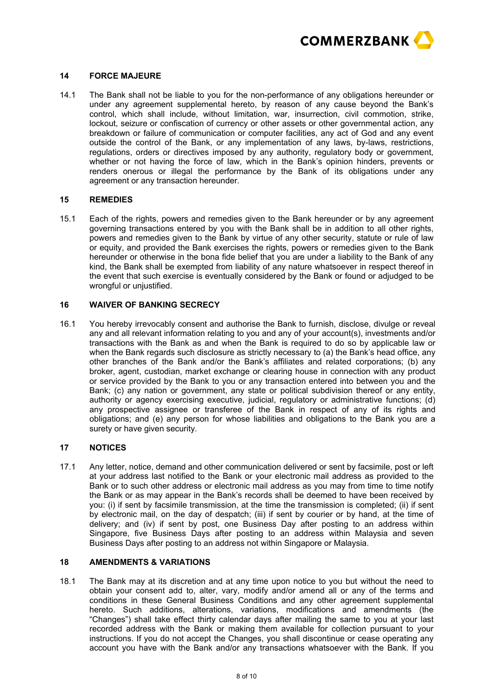

#### **14 FORCE MAJEURE**

14.1 The Bank shall not be liable to you for the non-performance of any obligations hereunder or under any agreement supplemental hereto, by reason of any cause beyond the Bank's control, which shall include, without limitation, war, insurrection, civil commotion, strike, lockout, seizure or confiscation of currency or other assets or other governmental action, any breakdown or failure of communication or computer facilities, any act of God and any event outside the control of the Bank, or any implementation of any laws, by-laws, restrictions, regulations, orders or directives imposed by any authority, regulatory body or government, whether or not having the force of law, which in the Bank's opinion hinders, prevents or renders onerous or illegal the performance by the Bank of its obligations under any agreement or any transaction hereunder.

#### **15 REMEDIES**

15.1 Each of the rights, powers and remedies given to the Bank hereunder or by any agreement governing transactions entered by you with the Bank shall be in addition to all other rights, powers and remedies given to the Bank by virtue of any other security, statute or rule of law or equity, and provided the Bank exercises the rights, powers or remedies given to the Bank hereunder or otherwise in the bona fide belief that you are under a liability to the Bank of any kind, the Bank shall be exempted from liability of any nature whatsoever in respect thereof in the event that such exercise is eventually considered by the Bank or found or adjudged to be wrongful or unjustified.

# **16 WAIVER OF BANKING SECRECY**

16.1 You hereby irrevocably consent and authorise the Bank to furnish, disclose, divulge or reveal any and all relevant information relating to you and any of your account(s), investments and/or transactions with the Bank as and when the Bank is required to do so by applicable law or when the Bank regards such disclosure as strictly necessary to (a) the Bank's head office, any other branches of the Bank and/or the Bank's affiliates and related corporations; (b) any broker, agent, custodian, market exchange or clearing house in connection with any product or service provided by the Bank to you or any transaction entered into between you and the Bank; (c) any nation or government, any state or political subdivision thereof or any entity, authority or agency exercising executive, judicial, regulatory or administrative functions; (d) any prospective assignee or transferee of the Bank in respect of any of its rights and obligations; and (e) any person for whose liabilities and obligations to the Bank you are a surety or have given security.

#### **17 NOTICES**

17.1 Any letter, notice, demand and other communication delivered or sent by facsimile, post or left at your address last notified to the Bank or your electronic mail address as provided to the Bank or to such other address or electronic mail address as you may from time to time notify the Bank or as may appear in the Bank's records shall be deemed to have been received by you: (i) if sent by facsimile transmission, at the time the transmission is completed; (ii) if sent by electronic mail, on the day of despatch; (iii) if sent by courier or by hand, at the time of delivery; and (iv) if sent by post, one Business Day after posting to an address within Singapore, five Business Days after posting to an address within Malaysia and seven Business Days after posting to an address not within Singapore or Malaysia.

# **18 AMENDMENTS & VARIATIONS**

18.1 The Bank may at its discretion and at any time upon notice to you but without the need to obtain your consent add to, alter, vary, modify and/or amend all or any of the terms and conditions in these General Business Conditions and any other agreement supplemental hereto. Such additions, alterations, variations, modifications and amendments (the "Changes") shall take effect thirty calendar days after mailing the same to you at your last recorded address with the Bank or making them available for collection pursuant to your instructions. If you do not accept the Changes, you shall discontinue or cease operating any account you have with the Bank and/or any transactions whatsoever with the Bank. If you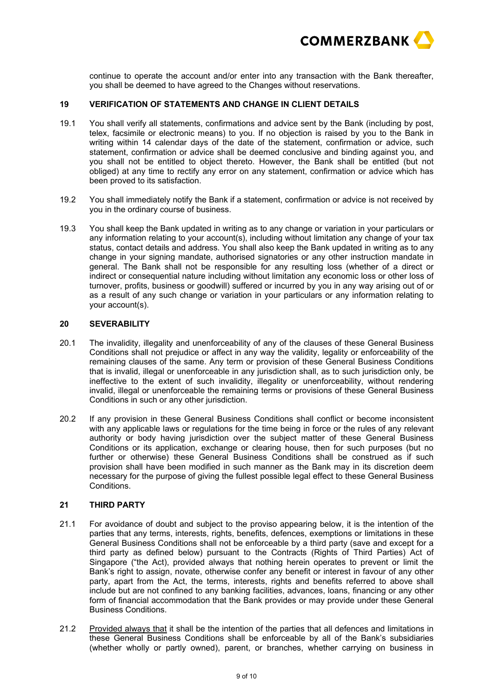

continue to operate the account and/or enter into any transaction with the Bank thereafter, you shall be deemed to have agreed to the Changes without reservations.

# **19 VERIFICATION OF STATEMENTS AND CHANGE IN CLIENT DETAILS**

- 19.1 You shall verify all statements, confirmations and advice sent by the Bank (including by post, telex, facsimile or electronic means) to you. If no objection is raised by you to the Bank in writing within 14 calendar days of the date of the statement, confirmation or advice, such statement, confirmation or advice shall be deemed conclusive and binding against you, and you shall not be entitled to object thereto. However, the Bank shall be entitled (but not obliged) at any time to rectify any error on any statement, confirmation or advice which has been proved to its satisfaction.
- 19.2 You shall immediately notify the Bank if a statement, confirmation or advice is not received by you in the ordinary course of business.
- 19.3 You shall keep the Bank updated in writing as to any change or variation in your particulars or any information relating to your account(s), including without limitation any change of your tax status, contact details and address. You shall also keep the Bank updated in writing as to any change in your signing mandate, authorised signatories or any other instruction mandate in general. The Bank shall not be responsible for any resulting loss (whether of a direct or indirect or consequential nature including without limitation any economic loss or other loss of turnover, profits, business or goodwill) suffered or incurred by you in any way arising out of or as a result of any such change or variation in your particulars or any information relating to your account(s).

## **20 SEVERABILITY**

- 20.1 The invalidity, illegality and unenforceability of any of the clauses of these General Business Conditions shall not prejudice or affect in any way the validity, legality or enforceability of the remaining clauses of the same. Any term or provision of these General Business Conditions that is invalid, illegal or unenforceable in any jurisdiction shall, as to such jurisdiction only, be ineffective to the extent of such invalidity, illegality or unenforceability, without rendering invalid, illegal or unenforceable the remaining terms or provisions of these General Business Conditions in such or any other jurisdiction.
- 20.2 If any provision in these General Business Conditions shall conflict or become inconsistent with any applicable laws or regulations for the time being in force or the rules of any relevant authority or body having jurisdiction over the subject matter of these General Business Conditions or its application, exchange or clearing house, then for such purposes (but no further or otherwise) these General Business Conditions shall be construed as if such provision shall have been modified in such manner as the Bank may in its discretion deem necessary for the purpose of giving the fullest possible legal effect to these General Business Conditions.

# **21 THIRD PARTY**

- 21.1 For avoidance of doubt and subject to the proviso appearing below, it is the intention of the parties that any terms, interests, rights, benefits, defences, exemptions or limitations in these General Business Conditions shall not be enforceable by a third party (save and except for a third party as defined below) pursuant to the Contracts (Rights of Third Parties) Act of Singapore ("the Act), provided always that nothing herein operates to prevent or limit the Bank's right to assign, novate, otherwise confer any benefit or interest in favour of any other party, apart from the Act, the terms, interests, rights and benefits referred to above shall include but are not confined to any banking facilities, advances, loans, financing or any other form of financial accommodation that the Bank provides or may provide under these General Business Conditions.
- 21.2 Provided always that it shall be the intention of the parties that all defences and limitations in these General Business Conditions shall be enforceable by all of the Bank's subsidiaries (whether wholly or partly owned), parent, or branches, whether carrying on business in